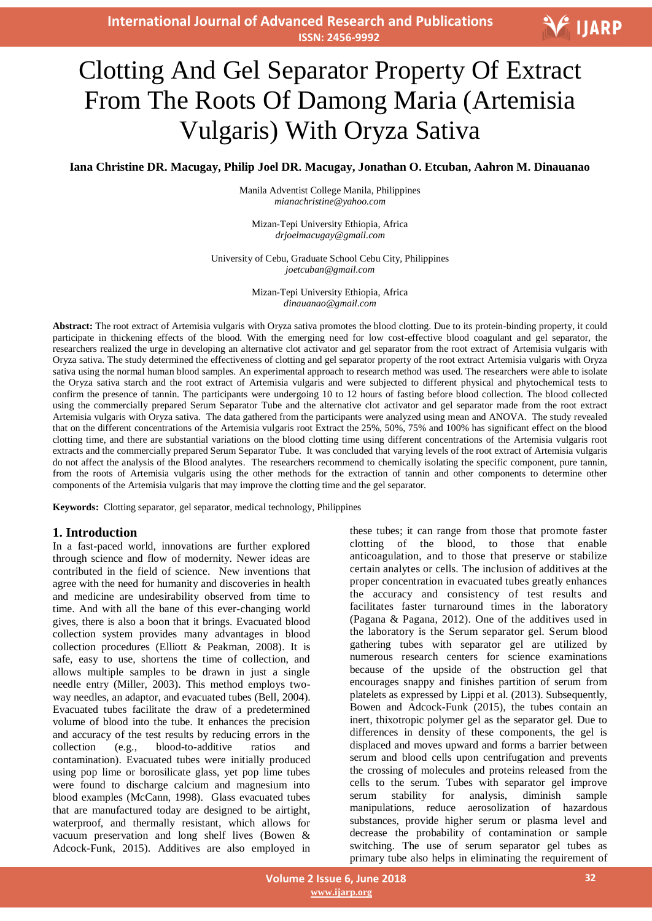**International Journal of Advanced Research and Publications ISSN: 2456-9992**

# V IJARP

# Clotting And Gel Separator Property Of Extract From The Roots Of Damong Maria (Artemisia Vulgaris) With Oryza Sativa

**Iana Christine DR. Macugay, Philip Joel DR. Macugay, Jonathan O. Etcuban, Aahron M. Dinauanao**

Manila Adventist College Manila, Philippines *mianachristine@yahoo.com*

Mizan-Tepi University Ethiopia, Africa *drjoelmacugay@gmail.com*

University of Cebu, Graduate School Cebu City, Philippines *joetcuban@gmail.com*

> Mizan-Tepi University Ethiopia, Africa *dinauanao@gmail.com*

**Abstract:** The root extract of Artemisia vulgaris with Oryza sativa promotes the blood clotting. Due to its protein-binding property, it could participate in thickening effects of the blood. With the emerging need for low cost-effective blood coagulant and gel separator, the researchers realized the urge in developing an alternative clot activator and gel separator from the root extract of Artemisia vulgaris with Oryza sativa. The study determined the effectiveness of clotting and gel separator property of the root extract Artemisia vulgaris with Oryza sativa using the normal human blood samples. An experimental approach to research method was used. The researchers were able to isolate the Oryza sativa starch and the root extract of Artemisia vulgaris and were subjected to different physical and phytochemical tests to confirm the presence of tannin. The participants were undergoing 10 to 12 hours of fasting before blood collection. The blood collected using the commercially prepared Serum Separator Tube and the alternative clot activator and gel separator made from the root extract Artemisia vulgaris with Oryza sativa. The data gathered from the participants were analyzed using mean and ANOVA. The study revealed that on the different concentrations of the Artemisia vulgaris root Extract the 25%, 50%, 75% and 100% has significant effect on the blood clotting time, and there are substantial variations on the blood clotting time using different concentrations of the Artemisia vulgaris root extracts and the commercially prepared Serum Separator Tube. It was concluded that varying levels of the root extract of Artemisia vulgaris do not affect the analysis of the Blood analytes. The researchers recommend to chemically isolating the specific component, pure tannin, from the roots of Artemisia vulgaris using the other methods for the extraction of tannin and other components to determine other components of the Artemisia vulgaris that may improve the clotting time and the gel separator.

**Keywords:** Clotting separator, gel separator, medical technology, Philippines

#### **1. Introduction**

In a fast-paced world, innovations are further explored through science and flow of modernity. Newer ideas are contributed in the field of science. New inventions that agree with the need for humanity and discoveries in health and medicine are undesirability observed from time to time. And with all the bane of this ever-changing world gives, there is also a boon that it brings. Evacuated blood collection system provides many advantages in blood collection procedures (Elliott & Peakman, 2008). It is safe, easy to use, shortens the time of collection, and allows multiple samples to be drawn in just a single needle entry (Miller, 2003). This method employs twoway needles, an adaptor, and evacuated tubes (Bell, 2004). Evacuated tubes facilitate the draw of a predetermined volume of blood into the tube. It enhances the precision and accuracy of the test results by reducing errors in the collection (e.g., blood-to-additive ratios and contamination). Evacuated tubes were initially produced using pop lime or borosilicate glass, yet pop lime tubes were found to discharge calcium and magnesium into blood examples (McCann, 1998). Glass evacuated tubes that are manufactured today are designed to be airtight, waterproof, and thermally resistant, which allows for vacuum preservation and long shelf lives (Bowen & Adcock-Funk, 2015). Additives are also employed in

these tubes; it can range from those that promote faster clotting of the blood, to those that enable anticoagulation, and to those that preserve or stabilize certain analytes or cells. The inclusion of additives at the proper concentration in evacuated tubes greatly enhances the accuracy and consistency of test results and facilitates faster turnaround times in the laboratory (Pagana & Pagana, 2012). One of the additives used in the laboratory is the Serum separator gel. Serum blood gathering tubes with separator gel are utilized by numerous research centers for science examinations because of the upside of the obstruction gel that encourages snappy and finishes partition of serum from platelets as expressed by Lippi et al. (2013). Subsequently, Bowen and Adcock-Funk (2015), the tubes contain an inert, thixotropic polymer gel as the separator gel. Due to differences in density of these components, the gel is displaced and moves upward and forms a barrier between serum and blood cells upon centrifugation and prevents the crossing of molecules and proteins released from the cells to the serum. Tubes with separator gel improve serum stability for analysis, diminish sample manipulations, reduce aerosolization of hazardous substances, provide higher serum or plasma level and decrease the probability of contamination or sample switching. The use of serum separator gel tubes as primary tube also helps in eliminating the requirement of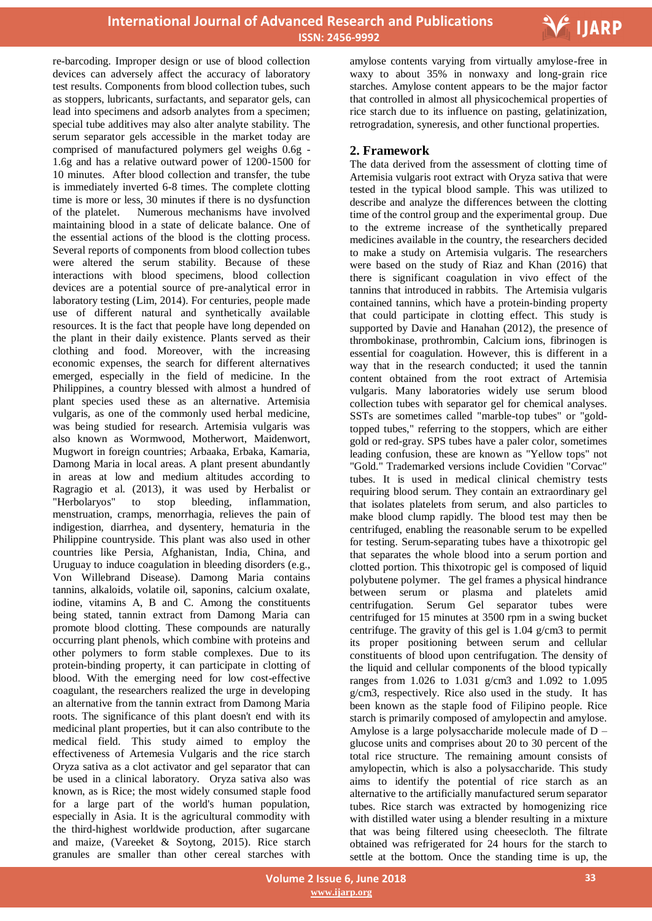

re-barcoding. Improper design or use of blood collection devices can adversely affect the accuracy of laboratory test results. Components from blood collection tubes, such as stoppers, lubricants, surfactants, and separator gels, can lead into specimens and adsorb analytes from a specimen; special tube additives may also alter analyte stability. The serum separator gels accessible in the market today are comprised of manufactured polymers gel weighs 0.6g - 1.6g and has a relative outward power of 1200-1500 for 10 minutes. After blood collection and transfer, the tube is immediately inverted 6-8 times. The complete clotting time is more or less, 30 minutes if there is no dysfunction of the platelet. Numerous mechanisms have involved maintaining blood in a state of delicate balance. One of the essential actions of the blood is the clotting process. Several reports of components from blood collection tubes were altered the serum stability. Because of these interactions with blood specimens, blood collection devices are a potential source of pre-analytical error in laboratory testing (Lim, 2014). For centuries, people made use of different natural and synthetically available resources. It is the fact that people have long depended on the plant in their daily existence. Plants served as their clothing and food. Moreover, with the increasing economic expenses, the search for different alternatives emerged, especially in the field of medicine. In the Philippines, a country blessed with almost a hundred of plant species used these as an alternative. Artemisia vulgaris, as one of the commonly used herbal medicine, was being studied for research. Artemisia vulgaris was also known as Wormwood, Motherwort, Maidenwort, Mugwort in foreign countries; Arbaaka, Erbaka, Kamaria, Damong Maria in local areas. A plant present abundantly in areas at low and medium altitudes according to Ragragio et al. (2013), it was used by Herbalist or "Herbolaryos" to stop bleeding, inflammation, menstruation, cramps, menorrhagia, relieves the pain of indigestion, diarrhea, and dysentery, hematuria in the Philippine countryside. This plant was also used in other countries like Persia, Afghanistan, India, China, and Uruguay to induce coagulation in bleeding disorders (e.g., Von Willebrand Disease). Damong Maria contains tannins, alkaloids, volatile oil, saponins, calcium oxalate, iodine, vitamins A, B and C. Among the constituents being stated, tannin extract from Damong Maria can promote blood clotting. These compounds are naturally occurring plant phenols, which combine with proteins and other polymers to form stable complexes. Due to its protein-binding property, it can participate in clotting of blood. With the emerging need for low cost-effective coagulant, the researchers realized the urge in developing an alternative from the tannin extract from Damong Maria roots. The significance of this plant doesn't end with its medicinal plant properties, but it can also contribute to the medical field. This study aimed to employ the effectiveness of Artemesia Vulgaris and the rice starch Oryza sativa as a clot activator and gel separator that can be used in a clinical laboratory. Oryza sativa also was known, as is Rice; the most widely consumed staple food for a large part of the world's human population, especially in Asia. It is the agricultural commodity with the third-highest worldwide production, after sugarcane and maize, (Vareeket & Soytong, 2015). Rice starch granules are smaller than other cereal starches with

 amylose contents varying from virtually amylose-free in waxy to about 35% in nonwaxy and long-grain rice starches. Amylose content appears to be the major factor that controlled in almost all physicochemical properties of rice starch due to its influence on pasting, gelatinization, retrogradation, syneresis, and other functional properties.

# **2. Framework**

The data derived from the assessment of clotting time of Artemisia vulgaris root extract with Oryza sativa that were tested in the typical blood sample. This was utilized to describe and analyze the differences between the clotting time of the control group and the experimental group. Due to the extreme increase of the synthetically prepared medicines available in the country, the researchers decided to make a study on Artemisia vulgaris. The researchers were based on the study of Riaz and Khan (2016) that there is significant coagulation in vivo effect of the tannins that introduced in rabbits. The Artemisia vulgaris contained tannins, which have a protein-binding property that could participate in clotting effect. This study is supported by Davie and Hanahan (2012), the presence of thrombokinase, prothrombin, Calcium ions, fibrinogen is essential for coagulation. However, this is different in a way that in the research conducted; it used the tannin content obtained from the root extract of Artemisia vulgaris. Many laboratories widely use serum blood collection tubes with separator gel for chemical analyses. SSTs are sometimes called "marble-top tubes" or "goldtopped tubes," referring to the stoppers, which are either gold or red-gray. SPS tubes have a paler color, sometimes leading confusion, these are known as "Yellow tops" not "Gold." Trademarked versions include Covidien "Corvac" tubes. It is used in medical clinical chemistry tests requiring blood serum. They contain an extraordinary gel that isolates platelets from serum, and also particles to make blood clump rapidly. The blood test may then be centrifuged, enabling the reasonable serum to be expelled for testing. Serum-separating tubes have a thixotropic gel that separates the whole blood into a serum portion and clotted portion. This thixotropic gel is composed of liquid polybutene polymer. The gel frames a physical hindrance between serum or plasma and platelets amid centrifugation. Serum Gel separator tubes were centrifuged for 15 minutes at 3500 rpm in a swing bucket centrifuge. The gravity of this gel is 1.04 g/cm3 to permit its proper positioning between serum and cellular constituents of blood upon centrifugation. The density of the liquid and cellular components of the blood typically ranges from 1.026 to 1.031 g/cm3 and 1.092 to 1.095 g/cm3, respectively. Rice also used in the study. It has been known as the staple food of Filipino people. Rice starch is primarily composed of amylopectin and amylose. Amylose is a large polysaccharide molecule made of D – glucose units and comprises about 20 to 30 percent of the total rice structure. The remaining amount consists of amylopectin, which is also a polysaccharide. This study aims to identify the potential of rice starch as an alternative to the artificially manufactured serum separator tubes. Rice starch was extracted by homogenizing rice with distilled water using a blender resulting in a mixture that was being filtered using cheesecloth. The filtrate obtained was refrigerated for 24 hours for the starch to settle at the bottom. Once the standing time is up, the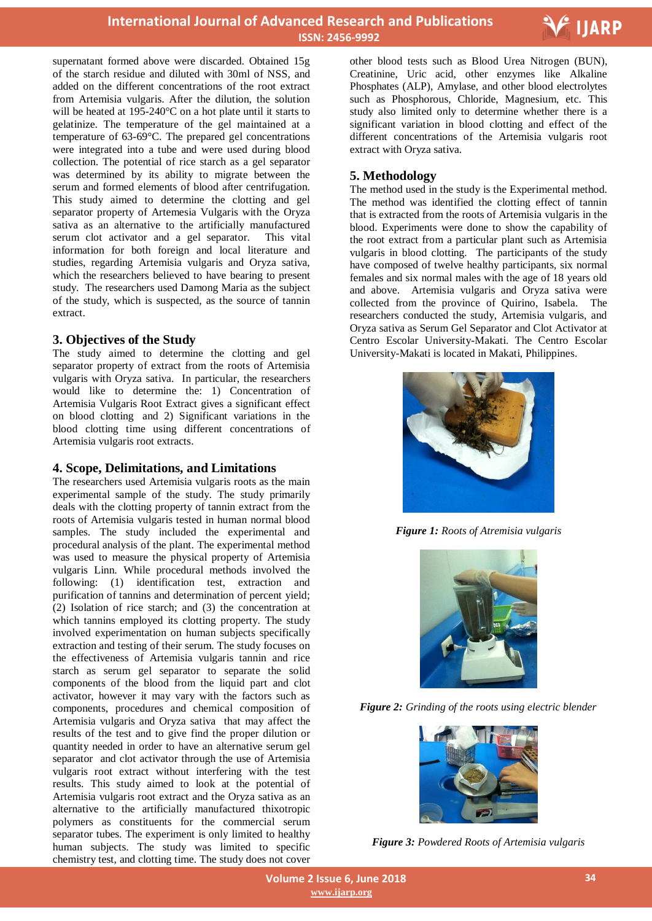

supernatant formed above were discarded. Obtained 15g of the starch residue and diluted with 30ml of NSS, and added on the different concentrations of the root extract from Artemisia vulgaris. After the dilution, the solution will be heated at 195-240°C on a hot plate until it starts to gelatinize. The temperature of the gel maintained at a temperature of 63-69°C. The prepared gel concentrations were integrated into a tube and were used during blood collection. The potential of rice starch as a gel separator was determined by its ability to migrate between the serum and formed elements of blood after centrifugation. This study aimed to determine the clotting and gel separator property of Artemesia Vulgaris with the Oryza sativa as an alternative to the artificially manufactured serum clot activator and a gel separator. This vital information for both foreign and local literature and studies, regarding Artemisia vulgaris and Oryza sativa, which the researchers believed to have bearing to present study. The researchers used Damong Maria as the subject of the study, which is suspected, as the source of tannin extract.

# **3. Objectives of the Study**

The study aimed to determine the clotting and gel separator property of extract from the roots of Artemisia vulgaris with Oryza sativa. In particular, the researchers would like to determine the: 1) Concentration of Artemisia Vulgaris Root Extract gives a significant effect on blood clotting, and 2) Significant variations in the blood clotting time using different concentrations of Artemisia vulgaris root extracts.

# **4. Scope, Delimitations, and Limitations**

The researchers used Artemisia vulgaris roots as the main experimental sample of the study. The study primarily deals with the clotting property of tannin extract from the roots of Artemisia vulgaris tested in human normal blood samples. The study included the experimental and procedural analysis of the plant. The experimental method was used to measure the physical property of Artemisia vulgaris Linn. While procedural methods involved the following: (1) identification test, extraction and purification of tannins and determination of percent yield; (2) Isolation of rice starch; and (3) the concentration at which tannins employed its clotting property. The study involved experimentation on human subjects specifically extraction and testing of their serum. The study focuses on the effectiveness of Artemisia vulgaris tannin and rice starch as serum gel separator to separate the solid components of the blood from the liquid part and clot activator, however it may vary with the factors such as components, procedures and chemical composition of Artemisia vulgaris and Oryza sativa that may affect the results of the test and to give find the proper dilution or quantity needed in order to have an alternative serum gel separator and clot activator through the use of Artemisia vulgaris root extract without interfering with the test results. This study aimed to look at the potential of Artemisia vulgaris root extract and the Oryza sativa as an alternative to the artificially manufactured thixotropic polymers as constituents for the commercial serum separator tubes. The experiment is only limited to healthy human subjects. The study was limited to specific chemistry test, and clotting time. The study does not cover

 other blood tests such as Blood Urea Nitrogen (BUN), Creatinine, Uric acid, other enzymes like Alkaline Phosphates (ALP), Amylase, and other blood electrolytes such as Phosphorous, Chloride, Magnesium, etc. This study also limited only to determine whether there is a significant variation in blood clotting and effect of the different concentrations of the Artemisia vulgaris root extract with Oryza sativa.

# **5. Methodology**

The method used in the study is the Experimental method. The method was identified the clotting effect of tannin that is extracted from the roots of Artemisia vulgaris in the blood. Experiments were done to show the capability of the root extract from a particular plant such as Artemisia vulgaris in blood clotting. The participants of the study have composed of twelve healthy participants, six normal females and six normal males with the age of 18 years old and above. Artemisia vulgaris and Oryza sativa were collected from the province of Quirino, Isabela. The researchers conducted the study, Artemisia vulgaris, and Oryza sativa as Serum Gel Separator and Clot Activator at Centro Escolar University-Makati. The Centro Escolar University-Makati is located in Makati, Philippines.



*Figure 1: Roots of Atremisia vulgaris*



*Figure 2: Grinding of the roots using electric blender*



*Figure 3: Powdered Roots of Artemisia vulgaris*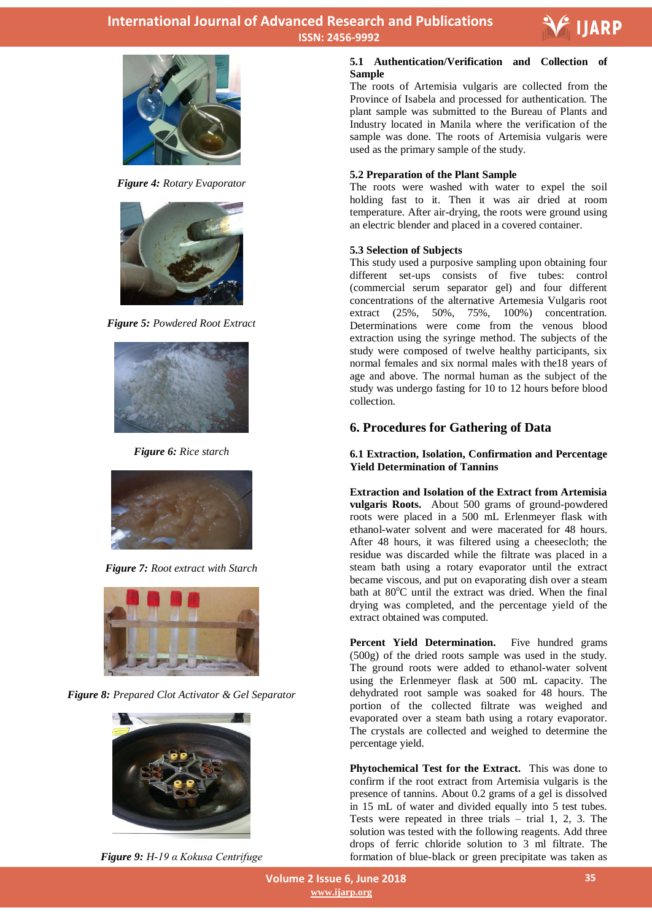



*Figure 4: Rotary Evaporator*



*Figure 5: Powdered Root Extract*



*Figure 6: Rice starch*



*Figure 7: Root extract with Starch*



*Figure 8: Prepared Clot Activator & Gel Separator*



*Figure 9: H-19 α Kokusa Centrifuge*

# **5.1 Authentication/Verification and Collection of Sample**

The roots of Artemisia vulgaris are collected from the Province of Isabela and processed for authentication. The plant sample was submitted to the Bureau of Plants and Industry located in Manila where the verification of the sample was done. The roots of Artemisia vulgaris were used as the primary sample of the study.

# **5.2 Preparation of the Plant Sample**

The roots were washed with water to expel the soil holding fast to it. Then it was air dried at room temperature. After air-drying, the roots were ground using an electric blender and placed in a covered container.

# **5.3 Selection of Subjects**

This study used a purposive sampling upon obtaining four different set-ups consists of five tubes: control (commercial serum separator gel) and four different concentrations of the alternative Artemesia Vulgaris root extract (25%, 50%, 75%, 100%) concentration. Determinations were come from the venous blood extraction using the syringe method. The subjects of the study were composed of twelve healthy participants, six normal females and six normal males with the18 years of age and above. The normal human as the subject of the study was undergo fasting for 10 to 12 hours before blood collection.

# **6. Procedures for Gathering of Data**

# **6.1 Extraction, Isolation, Confirmation and Percentage Yield Determination of Tannins**

**Extraction and Isolation of the Extract from Artemisia vulgaris Roots.** About 500 grams of ground-powdered roots were placed in a 500 mL Erlenmeyer flask with ethanol-water solvent and were macerated for 48 hours. After 48 hours, it was filtered using a cheesecloth; the residue was discarded while the filtrate was placed in a steam bath using a rotary evaporator until the extract became viscous, and put on evaporating dish over a steam bath at 80°C until the extract was dried. When the final drying was completed, and the percentage yield of the extract obtained was computed.

**Percent Yield Determination.** Five hundred grams (500g) of the dried roots sample was used in the study. The ground roots were added to ethanol-water solvent using the Erlenmeyer flask at 500 mL capacity. The dehydrated root sample was soaked for 48 hours. The portion of the collected filtrate was weighed and evaporated over a steam bath using a rotary evaporator. The crystals are collected and weighed to determine the percentage yield.

**Phytochemical Test for the Extract.** This was done to confirm if the root extract from Artemisia vulgaris is the presence of tannins. About 0.2 grams of a gel is dissolved in 15 mL of water and divided equally into 5 test tubes. Tests were repeated in three trials  $-$  trial 1, 2, 3. The solution was tested with the following reagents. Add three drops of ferric chloride solution to 3 ml filtrate. The formation of blue-black or green precipitate was taken as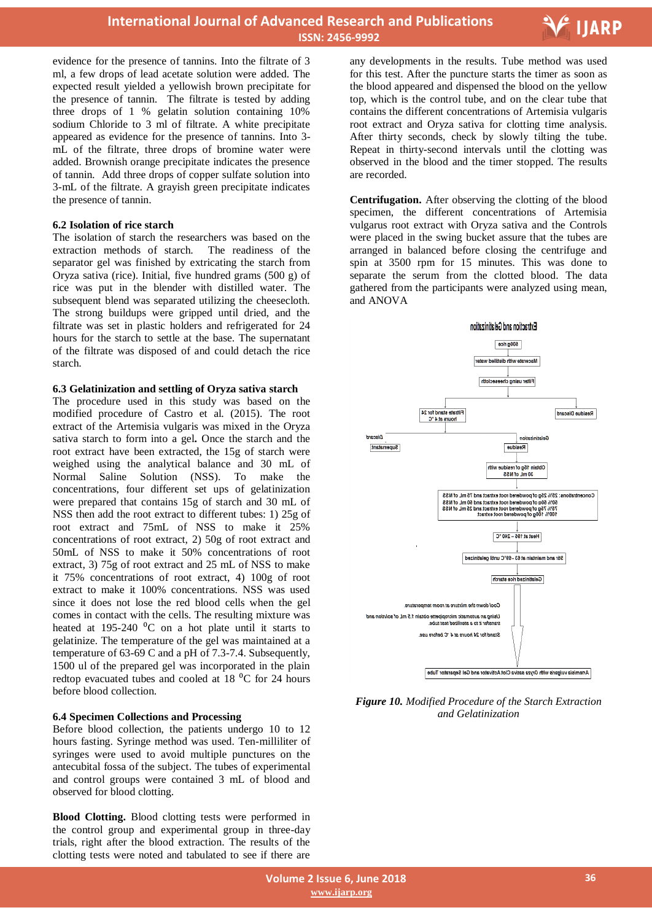

evidence for the presence of tannins. Into the filtrate of 3 ml, a few drops of lead acetate solution were added. The expected result yielded a yellowish brown precipitate for the presence of tannin. The filtrate is tested by adding three drops of 1 % gelatin solution containing 10% sodium Chloride to 3 ml of filtrate. A white precipitate appeared as evidence for the presence of tannins. Into 3 mL of the filtrate, three drops of bromine water were added. Brownish orange precipitate indicates the presence of tannin.Add three drops of copper sulfate solution into 3-mL of the filtrate. A grayish green precipitate indicates the presence of tannin.

#### **6.2 Isolation of rice starch**

The isolation of starch the researchers was based on the extraction methods of starch. The readiness of the extraction methods of starch. separator gel was finished by extricating the starch from Oryza sativa (rice). Initial, five hundred grams (500 g) of rice was put in the blender with distilled water. The subsequent blend was separated utilizing the cheesecloth. The strong buildups were gripped until dried, and the filtrate was set in plastic holders and refrigerated for 24 hours for the starch to settle at the base. The supernatant of the filtrate was disposed of and could detach the rice starch.

#### **6.3 Gelatinization and settling of Oryza sativa starch**

The procedure used in this study was based on the modified procedure of Castro et al. (2015). The root extract of the Artemisia vulgaris was mixed in the Oryza sativa starch to form into a gel**.** Once the starch and the root extract have been extracted, the 15g of starch were weighed using the analytical balance and 30 mL of Normal Saline Solution (NSS). To make the concentrations, four different set ups of gelatinization were prepared that contains 15g of starch and 30 mL of NSS then add the root extract to different tubes: 1) 25g of root extract and 75mL of NSS to make it 25% concentrations of root extract, 2) 50g of root extract and 50mL of NSS to make it 50% concentrations of root extract, 3) 75g of root extract and 25 mL of NSS to make it 75% concentrations of root extract, 4) 100g of root extract to make it 100% concentrations. NSS was used since it does not lose the red blood cells when the gel comes in contact with the cells. The resulting mixture was heated at  $195-240$  <sup>o</sup>C on a hot plate until it starts to gelatinize. The temperature of the gel was maintained at a temperature of 63-69 C and a pH of 7.3-7.4. Subsequently, 1500 ul of the prepared gel was incorporated in the plain redtop evacuated tubes and cooled at  $18\text{ °C}$  for 24 hours before blood collection.

#### **6.4 Specimen Collections and Processing**

Before blood collection, the patients undergo 10 to 12 hours fasting. Syringe method was used. Ten-milliliter of syringes were used to avoid multiple punctures on the antecubital fossa of the subject. The tubes of experimental and control groups were contained 3 mL of blood and observed for blood clotting.

**Blood Clotting.** Blood clotting tests were performed in the control group and experimental group in three-day trials, right after the blood extraction. The results of the clotting tests were noted and tabulated to see if there are

 any developments in the results. Tube method was used for this test. After the puncture starts the timer as soon as the blood appeared and dispensed the blood on the yellow top, which is the control tube, and on the clear tube that contains the different concentrations of Artemisia vulgaris root extract and Oryza sativa for clotting time analysis. After thirty seconds, check by slowly tilting the tube. Repeat in thirty-second intervals until the clotting was observed in the blood and the timer stopped. The results are recorded.

**Centrifugation.** After observing the clotting of the blood specimen, the different concentrations of Artemisia vulgarus root extract with Oryza sativa and the Controls were placed in the swing bucket assure that the tubes are arranged in balanced before closing the centrifuge and spin at 3500 rpm for 15 minutes. This was done to separate the serum from the clotted blood. The data gathered from the participants were analyzed using mean, and ANOVA



*Figure 10. Modified Procedure of the Starch Extraction and Gelatinization*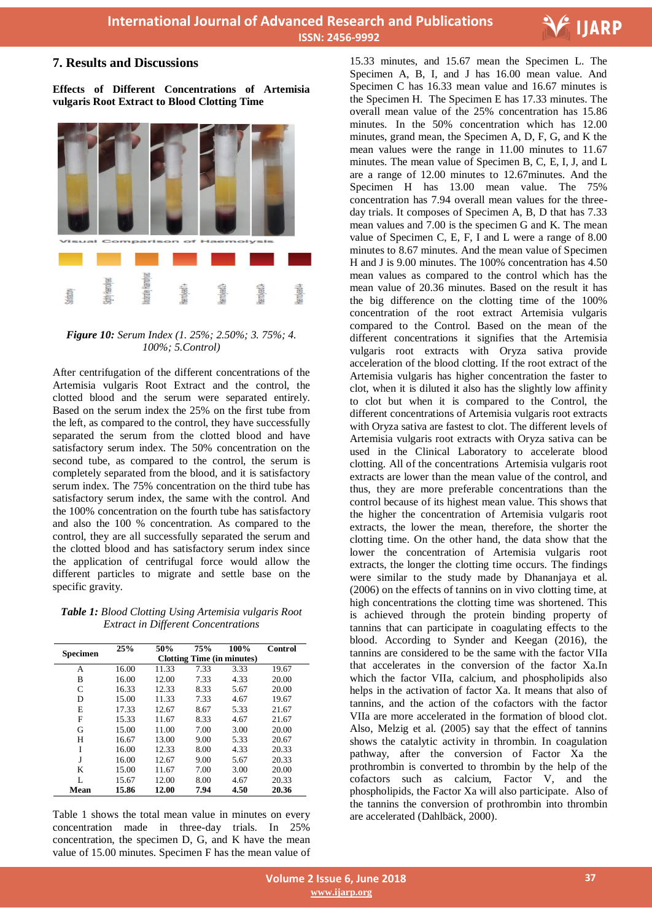

# **7. Results and Discussions**

**Effects of Different Concentrations of Artemisia vulgaris Root Extract to Blood Clotting Time**



#### *Figure 10: Serum Index (1. 25%; 2.50%; 3. 75%; 4. 100%; 5.Control)*

After centrifugation of the different concentrations of the Artemisia vulgaris Root Extract and the control, the clotted blood and the serum were separated entirely. Based on the serum index the 25% on the first tube from the left, as compared to the control, they have successfully separated the serum from the clotted blood and have satisfactory serum index. The 50% concentration on the second tube, as compared to the control, the serum is completely separated from the blood, and it is satisfactory serum index. The 75% concentration on the third tube has satisfactory serum index, the same with the control. And the 100% concentration on the fourth tube has satisfactory and also the 100 % concentration. As compared to the control, they are all successfully separated the serum and the clotted blood and has satisfactory serum index since the application of centrifugal force would allow the different particles to migrate and settle base on the specific gravity.

*Table 1: Blood Clotting Using Artemisia vulgaris Root Extract in Different Concentrations*

| <b>Specimen</b> | 25%                               | 50%   | 75%  | 100% | Control |  |  |
|-----------------|-----------------------------------|-------|------|------|---------|--|--|
|                 | <b>Clotting Time (in minutes)</b> |       |      |      |         |  |  |
| А               | 16.00                             | 11.33 | 7.33 | 3.33 | 19.67   |  |  |
| B               | 16.00                             | 12.00 | 7.33 | 4.33 | 20.00   |  |  |
| C               | 16.33                             | 12.33 | 8.33 | 5.67 | 20.00   |  |  |
| D               | 15.00                             | 11.33 | 7.33 | 4.67 | 19.67   |  |  |
| E               | 17.33                             | 12.67 | 8.67 | 5.33 | 21.67   |  |  |
| F               | 15.33                             | 11.67 | 8.33 | 4.67 | 21.67   |  |  |
| G               | 15.00                             | 11.00 | 7.00 | 3.00 | 20.00   |  |  |
| H               | 16.67                             | 13.00 | 9.00 | 5.33 | 20.67   |  |  |
| Ī               | 16.00                             | 12.33 | 8.00 | 4.33 | 20.33   |  |  |
| J               | 16.00                             | 12.67 | 9.00 | 5.67 | 20.33   |  |  |
| K               | 15.00                             | 11.67 | 7.00 | 3.00 | 20.00   |  |  |
| L               | 15.67                             | 12.00 | 8.00 | 4.67 | 20.33   |  |  |
| Mean            | 15.86                             | 12.00 | 7.94 | 4.50 | 20.36   |  |  |

Table 1 shows the total mean value in minutes on every concentration made in three-day trials. In 25% concentration, the specimen D, G, and K have the mean value of 15.00 minutes. Specimen F has the mean value of  15.33 minutes, and 15.67 mean the Specimen L. The Specimen A, B, I, and J has 16.00 mean value. And Specimen C has 16.33 mean value and 16.67 minutes is the Specimen H. The Specimen E has 17.33 minutes. The overall mean value of the 25% concentration has 15.86 minutes. In the 50% concentration which has 12.00 minutes, grand mean, the Specimen A, D, F, G, and K the mean values were the range in 11.00 minutes to 11.67 minutes. The mean value of Specimen B, C, E, I, J, and L are a range of 12.00 minutes to 12.67minutes. And the Specimen H has 13.00 mean value. The 75% concentration has 7.94 overall mean values for the threeday trials. It composes of Specimen A, B, D that has 7.33 mean values and 7.00 is the specimen G and K. The mean value of Specimen C, E, F, I and L were a range of 8.00 minutes to 8.67 minutes. And the mean value of Specimen H and J is 9.00 minutes. The 100% concentration has 4.50 mean values as compared to the control which has the mean value of 20.36 minutes. Based on the result it has the big difference on the clotting time of the 100% concentration of the root extract Artemisia vulgaris compared to the Control. Based on the mean of the different concentrations it signifies that the Artemisia vulgaris root extracts with Oryza sativa provide acceleration of the blood clotting. If the root extract of the Artemisia vulgaris has higher concentration the faster to clot, when it is diluted it also has the slightly low affinity to clot but when it is compared to the Control, the different concentrations of Artemisia vulgaris root extracts with Oryza sativa are fastest to clot. The different levels of Artemisia vulgaris root extracts with Oryza sativa can be used in the Clinical Laboratory to accelerate blood clotting. All of the concentrations Artemisia vulgaris root extracts are lower than the mean value of the control, and thus, they are more preferable concentrations than the control because of its highest mean value. This shows that the higher the concentration of Artemisia vulgaris root extracts, the lower the mean, therefore, the shorter the clotting time. On the other hand, the data show that the lower the concentration of Artemisia vulgaris root extracts, the longer the clotting time occurs. The findings were similar to the study made by Dhananjaya et al. (2006) on the effects of tannins on in vivo clotting time, at high concentrations the clotting time was shortened. This is achieved through the protein binding property of tannins that can participate in coagulating effects to the blood. According to Synder and Keegan (2016), the tannins are considered to be the same with the factor VIIa that accelerates in the conversion of the factor Xa.In which the factor VIIa, calcium, and phospholipids also helps in the activation of factor Xa. It means that also of tannins, and the action of the cofactors with the factor VIIa are more accelerated in the formation of blood clot. Also, Melzig et al. (2005) say that the effect of tannins shows the catalytic activity in thrombin. In coagulation pathway, after the conversion of Factor Xa the prothrombin is converted to thrombin by the help of the cofactors such as calcium, Factor V, and the phospholipids, the Factor Xa will also participate. Also of the tannins the conversion of prothrombin into thrombin are accelerated (Dahlbäck, 2000).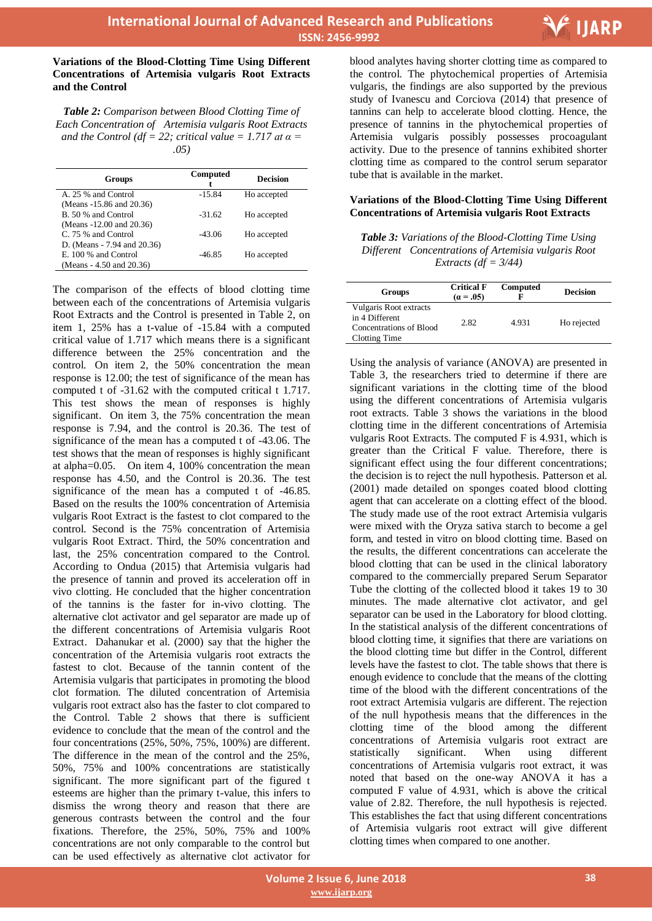

#### **Variations of the Blood-Clotting Time Using Different Concentrations of Artemisia vulgaris Root Extracts and the Control**

*Table 2: Comparison between Blood Clotting Time of Each Concentration of Artemisia vulgaris Root Extracts and the Control* ( $df = 22$ ; *critical value = 1.717 at*  $\alpha$  *= .05)*

| <b>Groups</b>               | Computed | <b>Decision</b> |
|-----------------------------|----------|-----------------|
| A. 25 % and Control         | $-15.84$ | Ho accepted     |
| (Means -15.86 and 20.36)    |          |                 |
| B. 50 % and Control         | $-31.62$ | Ho accepted     |
| (Means -12.00 and 20.36)    |          |                 |
| C. 75 % and Control         | $-43.06$ | Ho accepted     |
| D. (Means - 7.94 and 20.36) |          |                 |
| E. 100 % and Control        | $-46.85$ | Ho accepted     |
| (Means - 4.50 and 20.36)    |          |                 |

The comparison of the effects of blood clotting time between each of the concentrations of Artemisia vulgaris Root Extracts and the Control is presented in Table 2, on item 1, 25% has a t-value of -15.84 with a computed critical value of 1.717 which means there is a significant difference between the 25% concentration and the control. On item 2, the 50% concentration the mean response is 12.00; the test of significance of the mean has computed t of -31.62 with the computed critical t 1.717. This test shows the mean of responses is highly significant. On item 3, the 75% concentration the mean response is 7.94, and the control is 20.36. The test of significance of the mean has a computed t of -43.06. The test shows that the mean of responses is highly significant at alpha=0.05. On item 4, 100% concentration the mean response has 4.50, and the Control is 20.36. The test significance of the mean has a computed t of -46.85. Based on the results the 100% concentration of Artemisia vulgaris Root Extract is the fastest to clot compared to the control. Second is the 75% concentration of Artemisia vulgaris Root Extract. Third, the 50% concentration and last, the 25% concentration compared to the Control. According to Ondua (2015) that Artemisia vulgaris had the presence of tannin and proved its acceleration off in vivo clotting. He concluded that the higher concentration of the tannins is the faster for in-vivo clotting. The alternative clot activator and gel separator are made up of the different concentrations of Artemisia vulgaris Root Extract. Dahanukar et al. (2000) say that the higher the concentration of the Artemisia vulgaris root extracts the fastest to clot. Because of the tannin content of the Artemisia vulgaris that participates in promoting the blood clot formation. The diluted concentration of Artemisia vulgaris root extract also has the faster to clot compared to the Control. Table 2 shows that there is sufficient evidence to conclude that the mean of the control and the four concentrations (25%, 50%, 75%, 100%) are different. The difference in the mean of the control and the 25%, 50%, 75% and 100% concentrations are statistically significant. The more significant part of the figured t esteems are higher than the primary t-value, this infers to dismiss the wrong theory and reason that there are generous contrasts between the control and the four fixations. Therefore, the 25%, 50%, 75% and 100% concentrations are not only comparable to the control but can be used effectively as alternative clot activator for

 blood analytes having shorter clotting time as compared to the control. The phytochemical properties of Artemisia vulgaris, the findings are also supported by the previous study of Ivanescu and Corciova (2014) that presence of tannins can help to accelerate blood clotting. Hence, the presence of tannins in the phytochemical properties of Artemisia vulgaris possibly possesses procoagulant activity. Due to the presence of tannins exhibited shorter clotting time as compared to the control serum separator tube that is available in the market.

#### **Variations of the Blood-Clotting Time Using Different Concentrations of Artemisia vulgaris Root Extracts**

*Table 3: Variations of the Blood-Clotting Time Using Different Concentrations of Artemisia vulgaris Root Extracts (df = 3/44)*

| Groups                                                                               | <b>Critical F</b><br>$(a = .05)$ | <b>Computed</b> | <b>Decision</b> |
|--------------------------------------------------------------------------------------|----------------------------------|-----------------|-----------------|
| Vulgaris Root extracts<br>in 4 Different<br>Concentrations of Blood<br>Clotting Time | 2.82                             | 4.931           | Ho rejected     |

Using the analysis of variance (ANOVA) are presented in Table 3, the researchers tried to determine if there are significant variations in the clotting time of the blood using the different concentrations of Artemisia vulgaris root extracts. Table 3 shows the variations in the blood clotting time in the different concentrations of Artemisia vulgaris Root Extracts. The computed F is 4.931, which is greater than the Critical F value. Therefore, there is significant effect using the four different concentrations; the decision is to reject the null hypothesis. Patterson et al. (2001) made detailed on sponges coated blood clotting agent that can accelerate on a clotting effect of the blood. The study made use of the root extract Artemisia vulgaris were mixed with the Oryza sativa starch to become a gel form, and tested in vitro on blood clotting time. Based on the results, the different concentrations can accelerate the blood clotting that can be used in the clinical laboratory compared to the commercially prepared Serum Separator Tube the clotting of the collected blood it takes 19 to 30 minutes. The made alternative clot activator, and gel separator can be used in the Laboratory for blood clotting. In the statistical analysis of the different concentrations of blood clotting time, it signifies that there are variations on the blood clotting time but differ in the Control, different levels have the fastest to clot. The table shows that there is enough evidence to conclude that the means of the clotting time of the blood with the different concentrations of the root extract Artemisia vulgaris are different. The rejection of the null hypothesis means that the differences in the clotting time of the blood among the different concentrations of Artemisia vulgaris root extract are statistically significant. When using different concentrations of Artemisia vulgaris root extract, it was noted that based on the one-way ANOVA it has a computed F value of 4.931, which is above the critical value of 2.82. Therefore, the null hypothesis is rejected. This establishes the fact that using different concentrations of Artemisia vulgaris root extract will give different clotting times when compared to one another.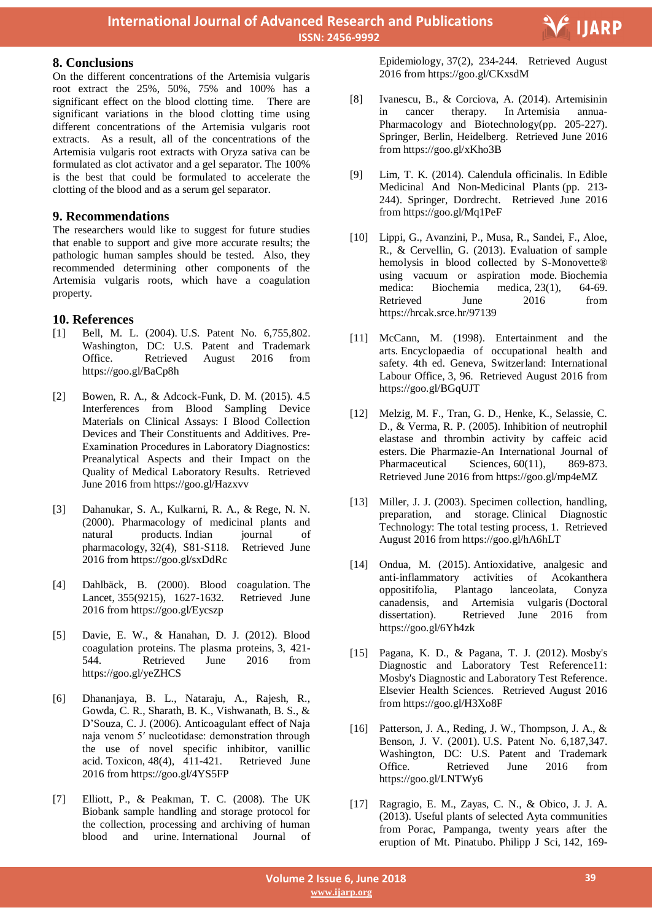### **8. Conclusions**

On the different concentrations of the Artemisia vulgaris root extract the 25%, 50%, 75% and 100% has a significant effect on the blood clotting time. There are significant variations in the blood clotting time using different concentrations of the Artemisia vulgaris root extracts. As a result, all of the concentrations of the Artemisia vulgaris root extracts with Oryza sativa can be formulated as clot activator and a gel separator. The 100% is the best that could be formulated to accelerate the clotting of the blood and as a serum gel separator.

# **9. Recommendations**

The researchers would like to suggest for future studies that enable to support and give more accurate results; the pathologic human samples should be tested. Also, they recommended determining other components of the Artemisia vulgaris roots, which have a coagulation property.

# **10. References**

- [1] Bell, M. L. (2004). U.S. Patent No. 6,755,802. Washington, DC: U.S. Patent and Trademark Office. Retrieved August 2016 from https://goo.gl/BaCp8h
- [2] Bowen, R. A., & Adcock-Funk, D. M. (2015). 4.5 Interferences from Blood Sampling Device Materials on Clinical Assays: I Blood Collection Devices and Their Constituents and Additives. Pre-Examination Procedures in Laboratory Diagnostics: Preanalytical Aspects and their Impact on the Quality of Medical Laboratory Results. Retrieved June 2016 from https://goo.gl/Hazxvv
- [3] Dahanukar, S. A., Kulkarni, R. A., & Rege, N. N. (2000). Pharmacology of medicinal plants and natural products. Indian journal of pharmacology, 32(4), S81-S118. Retrieved June 2016 from https://goo.gl/sxDdRc
- [4] Dahlbäck, B. (2000). Blood coagulation. The Lancet, 355(9215), 1627-1632. Retrieved June 2016 from https://goo.gl/Eycszp
- [5] Davie, E. W., & Hanahan, D. J. (2012). Blood coagulation proteins. The plasma proteins, 3, 421- 544. Retrieved June 2016 from https://goo.gl/yeZHCS
- [6] Dhananjaya, B. L., Nataraju, A., Rajesh, R., Gowda, C. R., Sharath, B. K., Vishwanath, B. S., & D'Souza, C. J. (2006). Anticoagulant effect of Naja naja venom 5′ nucleotidase: demonstration through the use of novel specific inhibitor, vanillic acid. Toxicon, 48(4), 411-421. Retrieved June 2016 from https://goo.gl/4YS5FP
- [7] Elliott, P., & Peakman, T. C. (2008). The UK Biobank sample handling and storage protocol for the collection, processing and archiving of human blood and urine. International Journal of

 Epidemiology, 37(2), 234-244. Retrieved August 2016 from https://goo.gl/CKxsdM

- [8] Ivanescu, B., & Corciova, A. (2014). Artemisinin in cancer therapy. In Artemisia annua-Pharmacology and Biotechnology(pp. 205-227). Springer, Berlin, Heidelberg. Retrieved June 2016 from https://goo.gl/xKho3B
- [9] Lim, T. K. (2014). Calendula officinalis. In Edible Medicinal And Non-Medicinal Plants (pp. 213-244). Springer, Dordrecht. Retrieved June 2016 from https://goo.gl/Mq1PeF
- [10] Lippi, G., Avanzini, P., Musa, R., Sandei, F., Aloe, R., & Cervellin, G. (2013). Evaluation of sample hemolysis in blood collected by S-Monovette® using vacuum or aspiration mode. Biochemia medica: Biochemia medica, 23(1), 64-69. Retrieved June 2016 from https://hrcak.srce.hr/97139
- [11] McCann, M. (1998). Entertainment and the arts. Encyclopaedia of occupational health and safety. 4th ed. Geneva, Switzerland: International Labour Office, 3, 96. Retrieved August 2016 from https://goo.gl/BGqUJT
- [12] Melzig, M. F., Tran, G. D., Henke, K., Selassie, C. D., & Verma, R. P. (2005). Inhibition of neutrophil elastase and thrombin activity by caffeic acid esters. Die Pharmazie-An International Journal of Pharmaceutical Sciences, 60(11), 869-873. Retrieved June 2016 from https://goo.gl/mp4eMZ
- [13] Miller, J. J. (2003). Specimen collection, handling, preparation, and storage. Clinical Diagnostic Technology: The total testing process, 1. Retrieved August 2016 from https://goo.gl/hA6hLT
- [14] Ondua, M. (2015). Antioxidative, analgesic and anti-inflammatory activities of Acokanthera oppositifolia, Plantago lanceolata, Conyza canadensis, and Artemisia vulgaris (Doctoral dissertation). Retrieved June 2016 from https://goo.gl/6Yh4zk
- [15] Pagana, K. D., & Pagana, T. J. (2012). Mosby's Diagnostic and Laboratory Test Reference11: Mosby's Diagnostic and Laboratory Test Reference. Elsevier Health Sciences. Retrieved August 2016 from https://goo.gl/H3Xo8F
- [16] Patterson, J. A., Reding, J. W., Thompson, J. A., & Benson, J. V. (2001). U.S. Patent No. 6,187,347. Washington, DC: U.S. Patent and Trademark Office. Retrieved June 2016 from https://goo.gl/LNTWy6
- [17] Ragragio, E. M., Zayas, C. N., & Obico, J. J. A. (2013). Useful plants of selected Ayta communities from Porac, Pampanga, twenty years after the eruption of Mt. Pinatubo. Philipp J Sci, 142, 169-